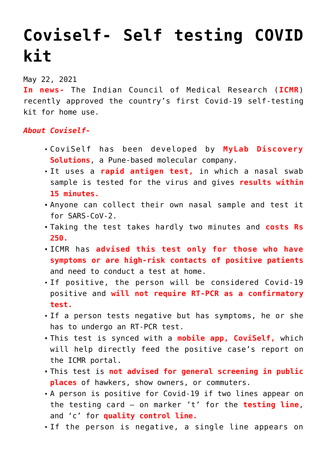## **[Coviself- Self testing COVID](https://journalsofindia.com/coviself-self-testing-covid-kit/) [kit](https://journalsofindia.com/coviself-self-testing-covid-kit/)**

## May 22, 2021

**In news-** The Indian Council of Medical Research (**ICMR**) recently approved the country's first Covid-19 self-testing kit for home use.

## *About Coviself-*

- CoviSelf has been developed by **MyLab Discovery Solutions**, a Pune-based molecular company.
- It uses a **rapid antigen test,** in which a nasal swab sample is tested for the virus and gives **results within 15 minutes.**
- Anyone can collect their own nasal sample and test it for SARS-CoV-2.
- Taking the test takes hardly two minutes and **costs Rs 250.**
- ICMR has **advised this test only for those who have symptoms or are high-risk contacts of positive patients** and need to conduct a test at home.
- If positive, the person will be considered Covid-19 positive and **will not require RT-PCR as a confirmatory test.**
- If a person tests negative but has symptoms, he or she has to undergo an RT-PCR test.
- This test is synced with a **mobile app, CoviSelf,** which will help directly feed the positive case's report on the ICMR portal.
- This test is **not advised for general screening in public places** of hawkers, show owners, or commuters.
- A person is positive for Covid-19 if two lines appear on the testing card – on marker 't' for the **testing line**, and 'c' for **quality control line.**
- If the person is negative, a single line appears on